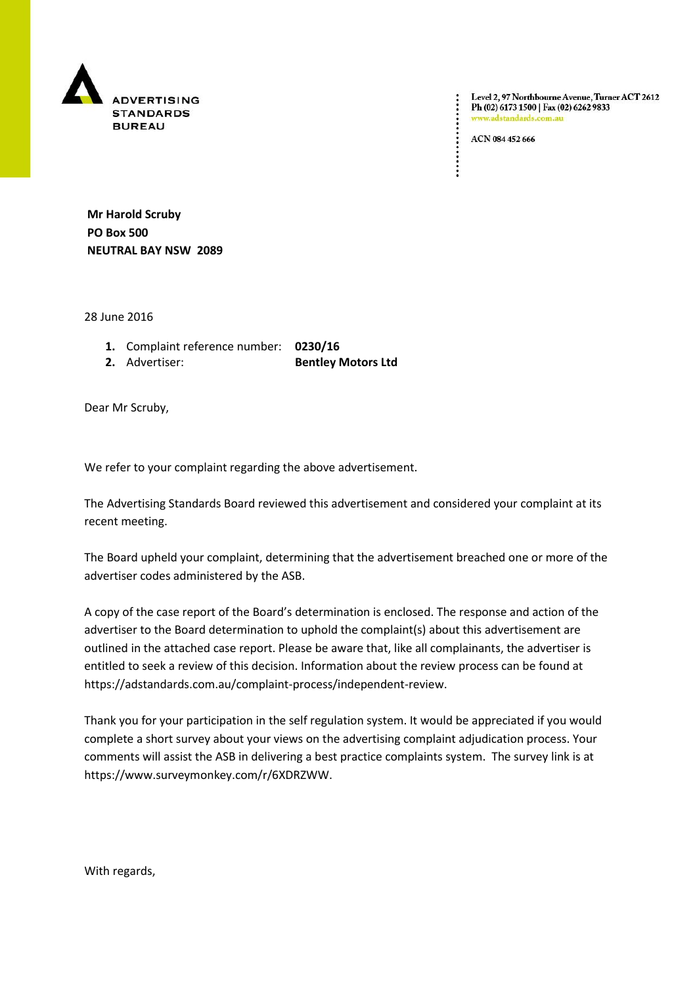

Level 2, 97 Northbourne Avenue, Turner ACT 2612<br>Ph (02) 6173 1500 | Fax (02) 6262 9833 dstandards.com

ACN 084 452 666

 $\vdots$ 

**Mr Harold Scruby PO Box 500 NEUTRAL BAY NSW 2089**

28 June 2016

- **1.** Complaint reference number: **0230/16**
- 

**2.** Advertiser: **Bentley Motors Ltd** 

Dear Mr Scruby,

We refer to your complaint regarding the above advertisement.

The Advertising Standards Board reviewed this advertisement and considered your complaint at its recent meeting.

The Board upheld your complaint, determining that the advertisement breached one or more of the advertiser codes administered by the ASB.

A copy of the case report of the Board's determination is enclosed. The response and action of the advertiser to the Board determination to uphold the complaint(s) about this advertisement are outlined in the attached case report. Please be aware that, like all complainants, the advertiser is entitled to seek a review of this decision. Information about the review process can be found at https://adstandards.com.au/complaint-process/independent-review.

Thank you for your participation in the self regulation system. It would be appreciated if you would complete a short survey about your views on the advertising complaint adjudication process. Your comments will assist the ASB in delivering a best practice complaints system. The survey link is at https://www.surveymonkey.com/r/6XDRZWW.

With regards,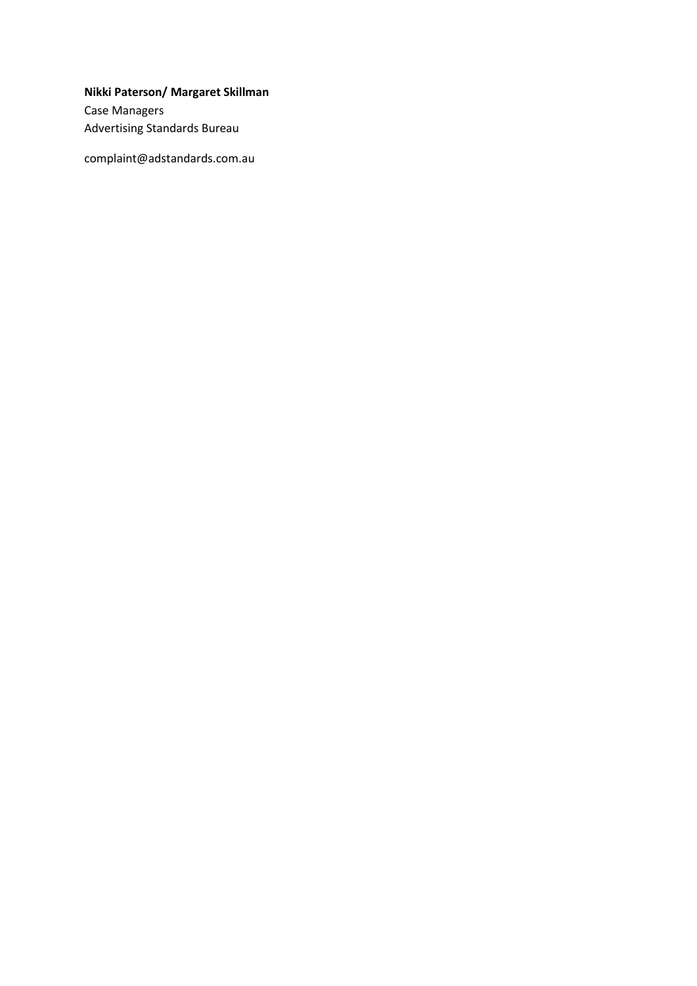**Nikki Paterson/ Margaret Skillman**

Case Managers Advertising Standards Bureau

complaint@adstandards.com.au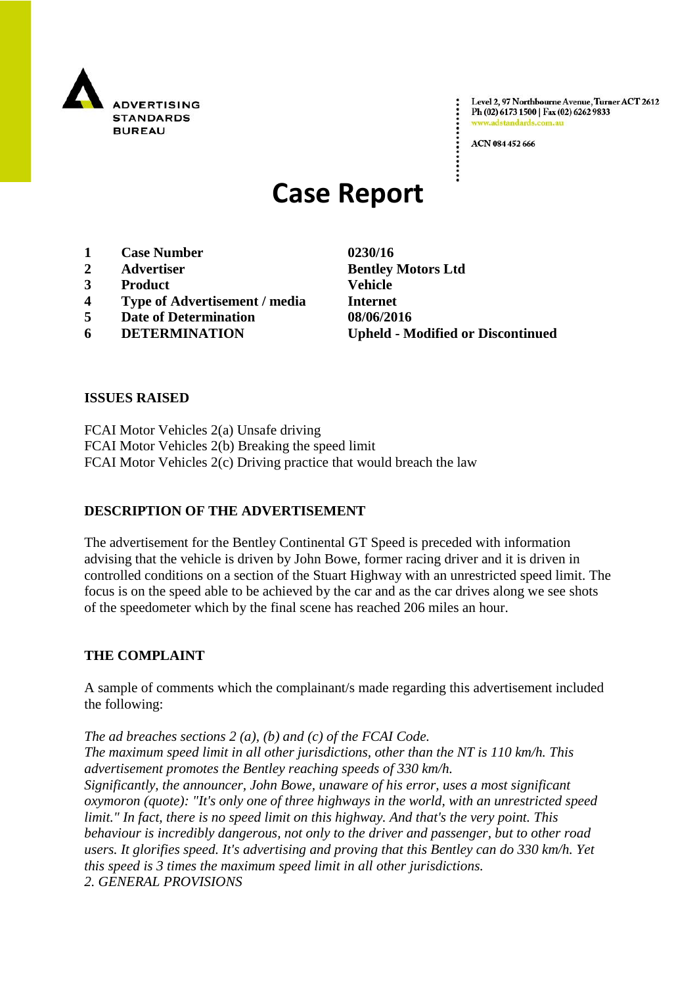

Level 2, 97 Northbourne Avenue, Turner ACT 2612 Ph (02) 6173 1500 | Fax (02) 6262 9833 www.adstandards.com.au

ACN 084 452 666

# **Case Report**

- **1 Case Number 0230/16**
- 
- **3 Product Vehicle**
- **4 Type of Advertisement / media Internet**
- **5 Date of Determination 08/06/2016**
- 

**2 Advertiser Bentley Motors Ltd 6 DETERMINATION Upheld - Modified or Discontinued**

#### **ISSUES RAISED**

FCAI Motor Vehicles 2(a) Unsafe driving FCAI Motor Vehicles 2(b) Breaking the speed limit FCAI Motor Vehicles 2(c) Driving practice that would breach the law

## **DESCRIPTION OF THE ADVERTISEMENT**

The advertisement for the Bentley Continental GT Speed is preceded with information advising that the vehicle is driven by John Bowe, former racing driver and it is driven in controlled conditions on a section of the Stuart Highway with an unrestricted speed limit. The focus is on the speed able to be achieved by the car and as the car drives along we see shots of the speedometer which by the final scene has reached 206 miles an hour.

#### **THE COMPLAINT**

A sample of comments which the complainant/s made regarding this advertisement included the following:

*The ad breaches sections 2 (a), (b) and (c) of the FCAI Code. The maximum speed limit in all other jurisdictions, other than the NT is 110 km/h. This advertisement promotes the Bentley reaching speeds of 330 km/h. Significantly, the announcer, John Bowe, unaware of his error, uses a most significant oxymoron (quote): "It's only one of three highways in the world, with an unrestricted speed limit." In fact, there is no speed limit on this highway. And that's the very point. This behaviour is incredibly dangerous, not only to the driver and passenger, but to other road users. It glorifies speed. It's advertising and proving that this Bentley can do 330 km/h. Yet this speed is 3 times the maximum speed limit in all other jurisdictions. 2. GENERAL PROVISIONS*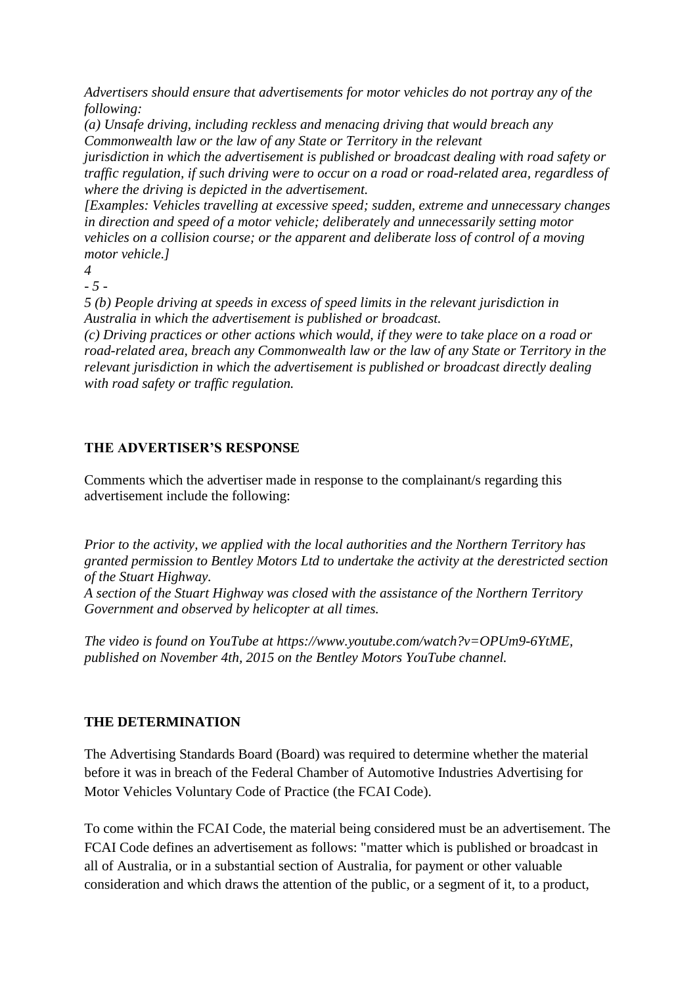*Advertisers should ensure that advertisements for motor vehicles do not portray any of the following:*

*(a) Unsafe driving, including reckless and menacing driving that would breach any Commonwealth law or the law of any State or Territory in the relevant*

*jurisdiction in which the advertisement is published or broadcast dealing with road safety or traffic regulation, if such driving were to occur on a road or road-related area, regardless of where the driving is depicted in the advertisement.*

*[Examples: Vehicles travelling at excessive speed; sudden, extreme and unnecessary changes in direction and speed of a motor vehicle; deliberately and unnecessarily setting motor vehicles on a collision course; or the apparent and deliberate loss of control of a moving motor vehicle.]*

*4*

*- 5 -*

*5 (b) People driving at speeds in excess of speed limits in the relevant jurisdiction in Australia in which the advertisement is published or broadcast.*

*(c) Driving practices or other actions which would, if they were to take place on a road or road-related area, breach any Commonwealth law or the law of any State or Territory in the relevant jurisdiction in which the advertisement is published or broadcast directly dealing with road safety or traffic regulation.*

## **THE ADVERTISER'S RESPONSE**

Comments which the advertiser made in response to the complainant/s regarding this advertisement include the following:

*Prior to the activity, we applied with the local authorities and the Northern Territory has granted permission to Bentley Motors Ltd to undertake the activity at the derestricted section of the Stuart Highway.*

*A section of the Stuart Highway was closed with the assistance of the Northern Territory Government and observed by helicopter at all times.*

*The video is found on YouTube at https://www.youtube.com/watch?v=OPUm9-6YtME, published on November 4th, 2015 on the Bentley Motors YouTube channel.*

# **THE DETERMINATION**

The Advertising Standards Board (Board) was required to determine whether the material before it was in breach of the Federal Chamber of Automotive Industries Advertising for Motor Vehicles Voluntary Code of Practice (the FCAI Code).

To come within the FCAI Code, the material being considered must be an advertisement. The FCAI Code defines an advertisement as follows: "matter which is published or broadcast in all of Australia, or in a substantial section of Australia, for payment or other valuable consideration and which draws the attention of the public, or a segment of it, to a product,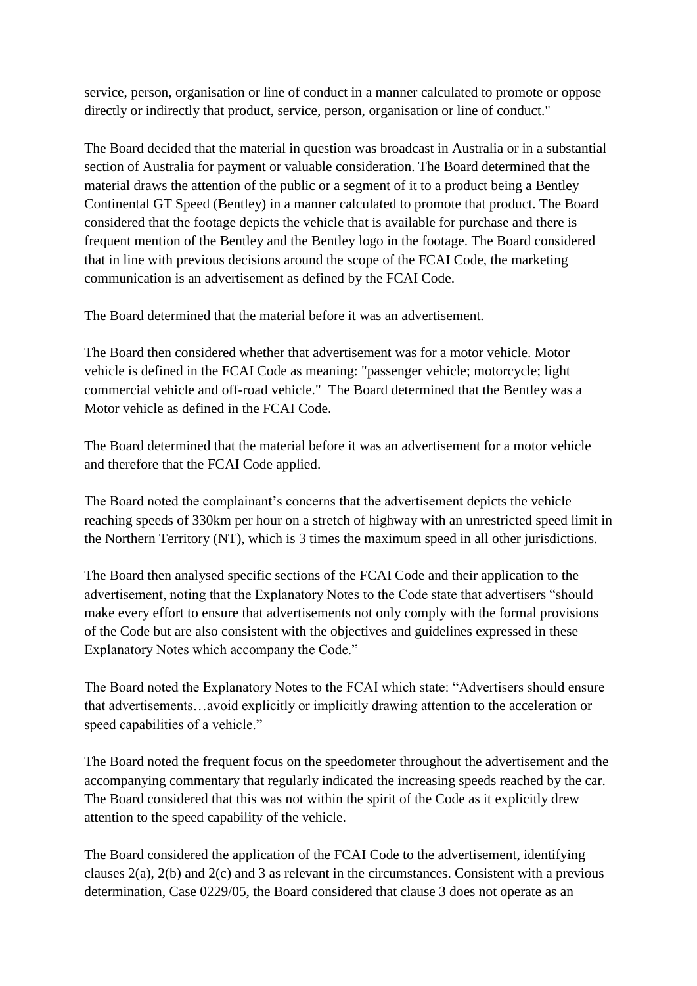service, person, organisation or line of conduct in a manner calculated to promote or oppose directly or indirectly that product, service, person, organisation or line of conduct."

The Board decided that the material in question was broadcast in Australia or in a substantial section of Australia for payment or valuable consideration. The Board determined that the material draws the attention of the public or a segment of it to a product being a Bentley Continental GT Speed (Bentley) in a manner calculated to promote that product. The Board considered that the footage depicts the vehicle that is available for purchase and there is frequent mention of the Bentley and the Bentley logo in the footage. The Board considered that in line with previous decisions around the scope of the FCAI Code, the marketing communication is an advertisement as defined by the FCAI Code.

The Board determined that the material before it was an advertisement.

The Board then considered whether that advertisement was for a motor vehicle. Motor vehicle is defined in the FCAI Code as meaning: "passenger vehicle; motorcycle; light commercial vehicle and off-road vehicle." The Board determined that the Bentley was a Motor vehicle as defined in the FCAI Code.

The Board determined that the material before it was an advertisement for a motor vehicle and therefore that the FCAI Code applied.

The Board noted the complainant's concerns that the advertisement depicts the vehicle reaching speeds of 330km per hour on a stretch of highway with an unrestricted speed limit in the Northern Territory (NT), which is 3 times the maximum speed in all other jurisdictions.

The Board then analysed specific sections of the FCAI Code and their application to the advertisement, noting that the Explanatory Notes to the Code state that advertisers "should make every effort to ensure that advertisements not only comply with the formal provisions of the Code but are also consistent with the objectives and guidelines expressed in these Explanatory Notes which accompany the Code."

The Board noted the Explanatory Notes to the FCAI which state: "Advertisers should ensure that advertisements…avoid explicitly or implicitly drawing attention to the acceleration or speed capabilities of a vehicle."

The Board noted the frequent focus on the speedometer throughout the advertisement and the accompanying commentary that regularly indicated the increasing speeds reached by the car. The Board considered that this was not within the spirit of the Code as it explicitly drew attention to the speed capability of the vehicle.

The Board considered the application of the FCAI Code to the advertisement, identifying clauses 2(a), 2(b) and 2(c) and 3 as relevant in the circumstances. Consistent with a previous determination, Case 0229/05, the Board considered that clause 3 does not operate as an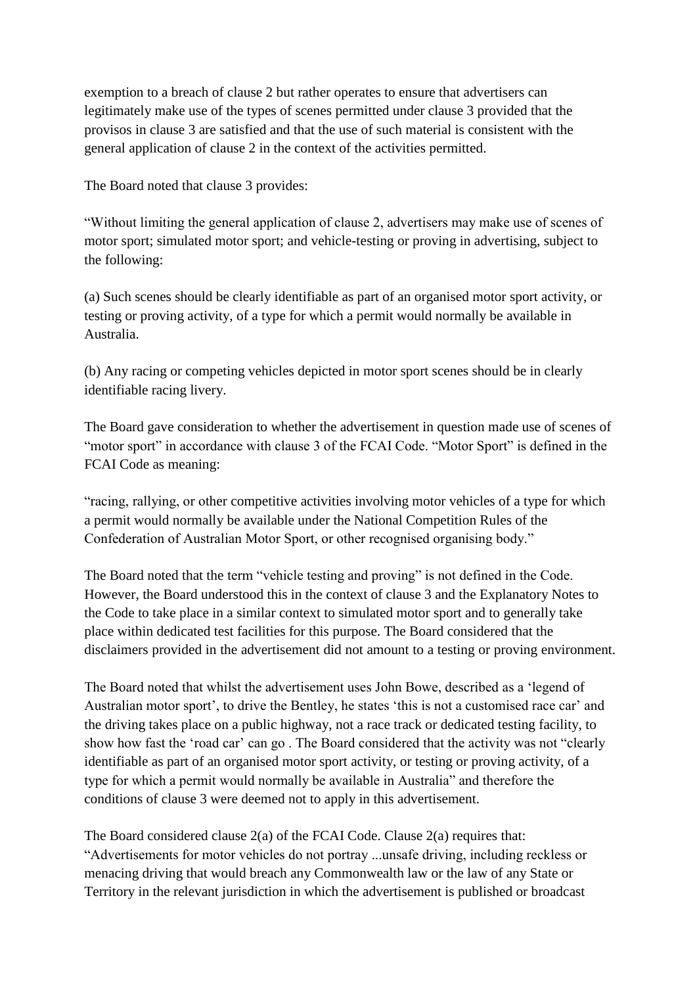exemption to a breach of clause 2 but rather operates to ensure that advertisers can legitimately make use of the types of scenes permitted under clause 3 provided that the provisos in clause 3 are satisfied and that the use of such material is consistent with the general application of clause 2 in the context of the activities permitted.

The Board noted that clause 3 provides:

"Without limiting the general application of clause 2, advertisers may make use of scenes of motor sport; simulated motor sport; and vehicle-testing or proving in advertising, subject to the following:

(a) Such scenes should be clearly identifiable as part of an organised motor sport activity, or testing or proving activity, of a type for which a permit would normally be available in Australia.

(b) Any racing or competing vehicles depicted in motor sport scenes should be in clearly identifiable racing livery.

The Board gave consideration to whether the advertisement in question made use of scenes of "motor sport" in accordance with clause 3 of the FCAI Code. "Motor Sport" is defined in the FCAI Code as meaning:

"racing, rallying, or other competitive activities involving motor vehicles of a type for which a permit would normally be available under the National Competition Rules of the Confederation of Australian Motor Sport, or other recognised organising body."

The Board noted that the term "vehicle testing and proving" is not defined in the Code. However, the Board understood this in the context of clause 3 and the Explanatory Notes to the Code to take place in a similar context to simulated motor sport and to generally take place within dedicated test facilities for this purpose. The Board considered that the disclaimers provided in the advertisement did not amount to a testing or proving environment.

The Board noted that whilst the advertisement uses John Bowe, described as a 'legend of Australian motor sport', to drive the Bentley, he states 'this is not a customised race car' and the driving takes place on a public highway, not a race track or dedicated testing facility, to show how fast the 'road car' can go . The Board considered that the activity was not "clearly identifiable as part of an organised motor sport activity, or testing or proving activity, of a type for which a permit would normally be available in Australia" and therefore the conditions of clause 3 were deemed not to apply in this advertisement.

The Board considered clause 2(a) of the FCAI Code. Clause 2(a) requires that: "Advertisements for motor vehicles do not portray ...unsafe driving, including reckless or menacing driving that would breach any Commonwealth law or the law of any State or Territory in the relevant jurisdiction in which the advertisement is published or broadcast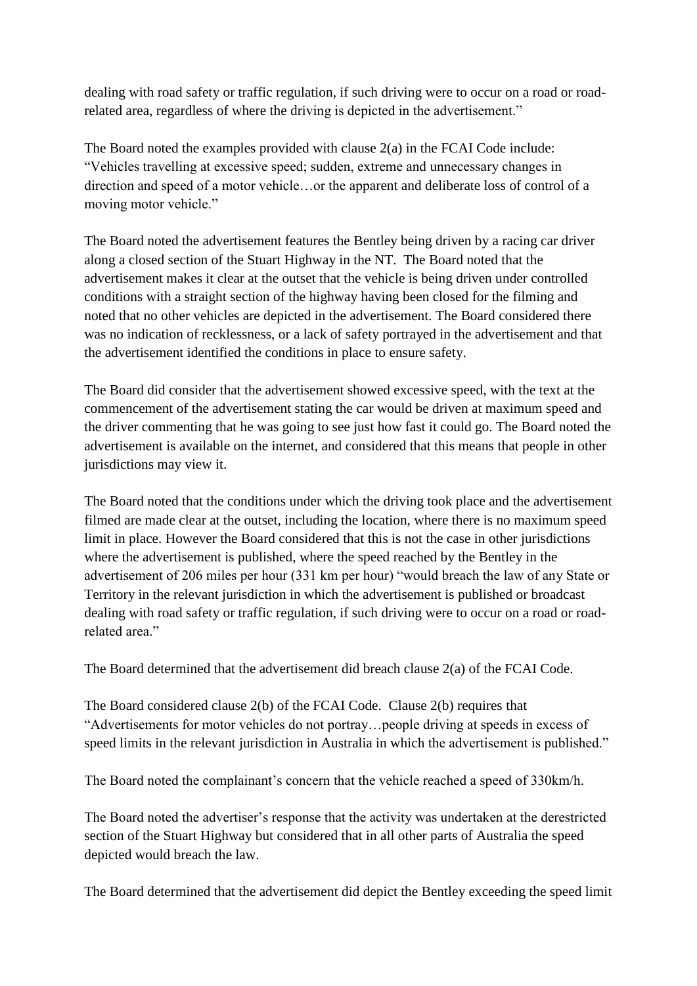dealing with road safety or traffic regulation, if such driving were to occur on a road or roadrelated area, regardless of where the driving is depicted in the advertisement."

The Board noted the examples provided with clause 2(a) in the FCAI Code include: "Vehicles travelling at excessive speed; sudden, extreme and unnecessary changes in direction and speed of a motor vehicle…or the apparent and deliberate loss of control of a moving motor vehicle."

The Board noted the advertisement features the Bentley being driven by a racing car driver along a closed section of the Stuart Highway in the NT. The Board noted that the advertisement makes it clear at the outset that the vehicle is being driven under controlled conditions with a straight section of the highway having been closed for the filming and noted that no other vehicles are depicted in the advertisement. The Board considered there was no indication of recklessness, or a lack of safety portrayed in the advertisement and that the advertisement identified the conditions in place to ensure safety.

The Board did consider that the advertisement showed excessive speed, with the text at the commencement of the advertisement stating the car would be driven at maximum speed and the driver commenting that he was going to see just how fast it could go. The Board noted the advertisement is available on the internet, and considered that this means that people in other jurisdictions may view it.

The Board noted that the conditions under which the driving took place and the advertisement filmed are made clear at the outset, including the location, where there is no maximum speed limit in place. However the Board considered that this is not the case in other jurisdictions where the advertisement is published, where the speed reached by the Bentley in the advertisement of 206 miles per hour (331 km per hour) "would breach the law of any State or Territory in the relevant jurisdiction in which the advertisement is published or broadcast dealing with road safety or traffic regulation, if such driving were to occur on a road or roadrelated area."

The Board determined that the advertisement did breach clause 2(a) of the FCAI Code.

The Board considered clause 2(b) of the FCAI Code. Clause 2(b) requires that "Advertisements for motor vehicles do not portray…people driving at speeds in excess of speed limits in the relevant jurisdiction in Australia in which the advertisement is published."

The Board noted the complainant's concern that the vehicle reached a speed of 330km/h.

The Board noted the advertiser's response that the activity was undertaken at the derestricted section of the Stuart Highway but considered that in all other parts of Australia the speed depicted would breach the law.

The Board determined that the advertisement did depict the Bentley exceeding the speed limit